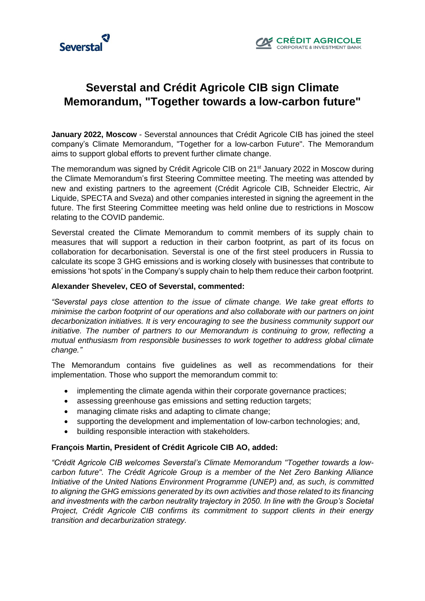



# **Severstal and Crédit Agricole CIB sign Climate Memorandum, "Together towards a low-carbon future"**

**January 2022, Moscow** - Severstal announces that Crédit Agricole CIB has joined the steel company's Climate Memorandum, "Together for a low-carbon Future". The Memorandum aims to support global efforts to prevent further climate change.

The memorandum was signed by Crédit Agricole CIB on 21<sup>st</sup> January 2022 in Moscow during the Climate Memorandum's first Steering Committee meeting. The meeting was attended by new and existing partners to the agreement (Crédit Agricole CIB, Schneider Electric, Air Liquide, SPECTA and Sveza) and other companies interested in signing the agreement in the future. The first Steering Committee meeting was held online due to restrictions in Moscow relating to the COVID pandemic.

Severstal created the Climate Memorandum to commit members of its supply chain to measures that will support a reduction in their carbon footprint, as part of its focus on collaboration for decarbonisation. Severstal is one of the first steel producers in Russia to calculate its scope 3 GHG emissions and is working closely with businesses that contribute to emissions 'hot spots' in the Company's supply chain to help them reduce their carbon footprint.

### **Alexander Shevelev, CEO of Severstal, commented:**

*"Severstal pays close attention to the issue of climate change. We take great efforts to minimise the carbon footprint of our operations and also collaborate with our partners on joint decarbonization initiatives. It is very encouraging to see the business community support our initiative. The number of partners to our Memorandum is continuing to grow, reflecting a mutual enthusiasm from responsible businesses to work together to address global climate change."*

The Memorandum contains five guidelines as well as recommendations for their implementation. Those who support the memorandum commit to:

- implementing the climate agenda within their corporate governance practices;
- assessing greenhouse gas emissions and setting reduction targets;
- managing climate risks and adapting to climate change;
- supporting the development and implementation of low-carbon technologies; and,
- building responsible interaction with stakeholders.

### **François Martin, President of Crédit Agricole CIB AO, added:**

*"Crédit Agricole CIB welcomes Severstal's Climate Memorandum "Together towards a lowcarbon future". The Crédit Agricole Group is a member of the Net Zero Banking Alliance Initiative of the United Nations Environment Programme (UNEP) and, as such, is committed to aligning the GHG emissions generated by its own activities and those related to its financing and investments with the carbon neutrality trajectory in 2050. In line with the Group's Societal Project, Crédit Agricole CIB confirms its commitment to support clients in their energy transition and decarburization strategy.*